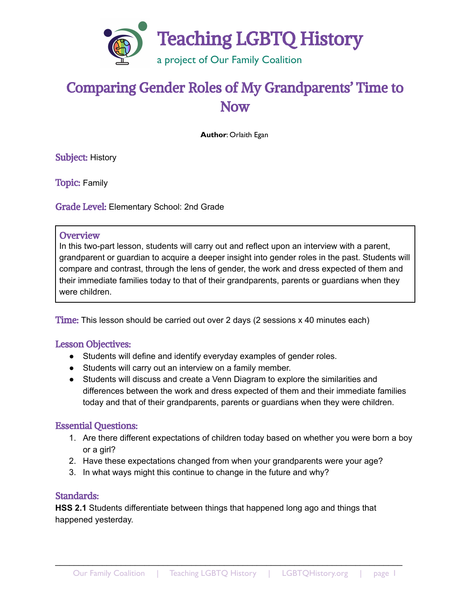

# Comparing Gender Roles of My Grandparents' Time to Now

**Author**: Orlaith Egan

Subject: History

Topic: Family

Grade Level: Elementary School: 2nd Grade

#### **Overview**

In this two-part lesson, students will carry out and reflect upon an interview with a parent, grandparent or guardian to acquire a deeper insight into gender roles in the past. Students will compare and contrast, through the lens of gender, the work and dress expected of them and their immediate families today to that of their grandparents, parents or guardians when they were children.

Time: This lesson should be carried out over 2 days (2 sessions x 40 minutes each)

#### Lesson Objectives:

- Students will define and identify everyday examples of gender roles.
- Students will carry out an interview on a family member.
- Students will discuss and create a Venn Diagram to explore the similarities and differences between the work and dress expected of them and their immediate families today and that of their grandparents, parents or guardians when they were children.

#### Essential Questions:

- 1. Are there different expectations of children today based on whether you were born a boy or a girl?
- 2. Have these expectations changed from when your grandparents were your age?
- 3. In what ways might this continue to change in the future and why?

#### Standards:

**HSS 2.1** Students differentiate between things that happened long ago and things that happened yesterday.

\_\_\_\_\_\_\_\_\_\_\_\_\_\_\_\_\_\_\_\_\_\_\_\_\_\_\_\_\_\_\_\_\_\_\_\_\_\_\_\_\_\_\_\_\_\_\_\_\_\_\_\_\_\_\_\_\_\_\_\_\_\_\_\_\_\_\_\_\_\_\_\_\_\_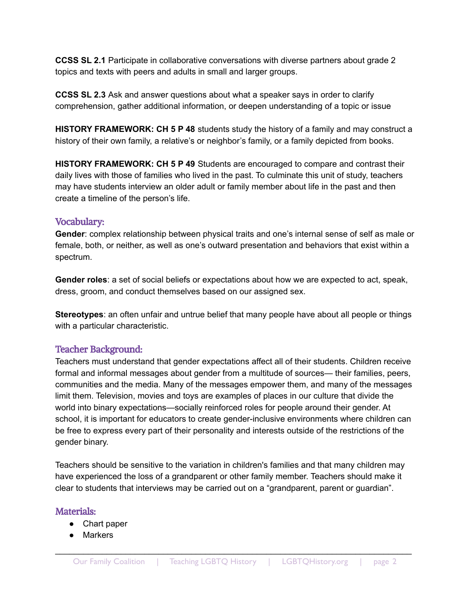**CCSS SL 2.1** Participate in collaborative conversations with diverse partners about grade 2 topics and texts with peers and adults in small and larger groups.

**CCSS SL 2.3** Ask and answer questions about what a speaker says in order to clarify comprehension, gather additional information, or deepen understanding of a topic or issue

**HISTORY FRAMEWORK: CH 5 P 48** students study the history of a family and may construct a history of their own family, a relative's or neighbor's family, or a family depicted from books.

**HISTORY FRAMEWORK: CH 5 P 49** Students are encouraged to compare and contrast their daily lives with those of families who lived in the past. To culminate this unit of study, teachers may have students interview an older adult or family member about life in the past and then create a timeline of the person's life.

#### Vocabulary:

**Gender**: complex relationship between physical traits and one's internal sense of self as male or female, both, or neither, as well as one's outward presentation and behaviors that exist within a spectrum.

**Gender roles**: a set of social beliefs or expectations about how we are expected to act, speak, dress, groom, and conduct themselves based on our assigned sex.

**Stereotypes**: an often unfair and untrue belief that many people have about all people or things with a particular characteristic.

#### Teacher Background:

Teachers must understand that gender expectations affect all of their students. Children receive formal and informal messages about gender from a multitude of sources— their families, peers, communities and the media. Many of the messages empower them, and many of the messages limit them. Television, movies and toys are examples of places in our culture that divide the world into binary expectations—socially reinforced roles for people around their gender. At school, it is important for educators to create gender-inclusive environments where children can be free to express every part of their personality and interests outside of the restrictions of the gender binary.

Teachers should be sensitive to the variation in children's families and that many children may have experienced the loss of a grandparent or other family member. Teachers should make it clear to students that interviews may be carried out on a "grandparent, parent or guardian".

#### Materials:

- Chart paper
- Markers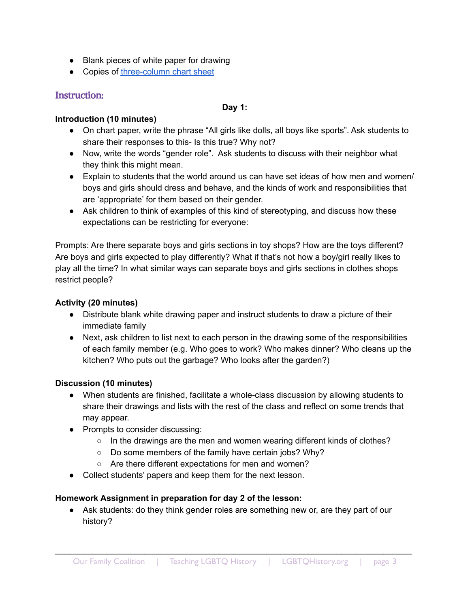- Blank pieces of white paper for drawing
- Copies of [three-column](https://docs.google.com/presentation/d/1KY5rjqqQRN2PRzn3-EfL4g89nTN20q9y_sKbO9gbs1A/edit?usp=sharing) chart sheet

## Instruction:

#### **Day 1:**

#### **Introduction (10 minutes)**

- On chart paper, write the phrase "All girls like dolls, all boys like sports". Ask students to share their responses to this- Is this true? Why not?
- Now, write the words "gender role". Ask students to discuss with their neighbor what they think this might mean.
- Explain to students that the world around us can have set ideas of how men and women/ boys and girls should dress and behave, and the kinds of work and responsibilities that are 'appropriate' for them based on their gender.
- Ask children to think of examples of this kind of stereotyping, and discuss how these expectations can be restricting for everyone:

Prompts: Are there separate boys and girls sections in toy shops? How are the toys different? Are boys and girls expected to play differently? What if that's not how a boy/girl really likes to play all the time? In what similar ways can separate boys and girls sections in clothes shops restrict people?

#### **Activity (20 minutes)**

- Distribute blank white drawing paper and instruct students to draw a picture of their immediate family
- Next, ask children to list next to each person in the drawing some of the responsibilities of each family member (e.g. Who goes to work? Who makes dinner? Who cleans up the kitchen? Who puts out the garbage? Who looks after the garden?)

#### **Discussion (10 minutes)**

- When students are finished, facilitate a whole-class discussion by allowing students to share their drawings and lists with the rest of the class and reflect on some trends that may appear.
- Prompts to consider discussing:
	- $\circ$  In the drawings are the men and women wearing different kinds of clothes?
	- Do some members of the family have certain jobs? Why?
	- Are there different expectations for men and women?
- Collect students' papers and keep them for the next lesson.

#### **Homework Assignment in preparation for day 2 of the lesson:**

• Ask students: do they think gender roles are something new or, are they part of our history?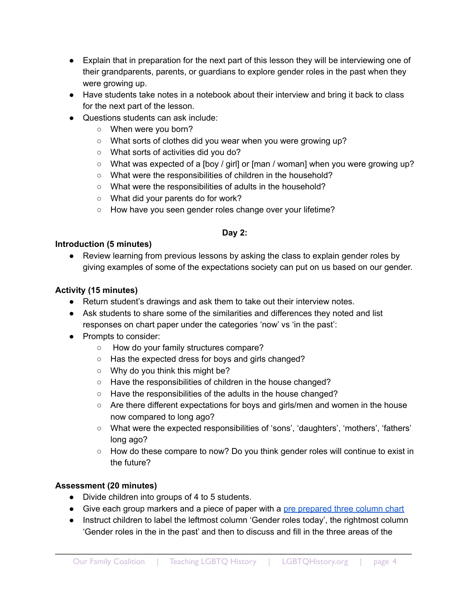- Explain that in preparation for the next part of this lesson they will be interviewing one of their grandparents, parents, or guardians to explore gender roles in the past when they were growing up.
- Have students take notes in a notebook about their interview and bring it back to class for the next part of the lesson.
- Questions students can ask include:
	- When were you born?
	- What sorts of clothes did you wear when you were growing up?
	- What sorts of activities did you do?
	- What was expected of a [boy / girl] or [man / woman] when you were growing up?
	- What were the responsibilities of children in the household?
	- What were the responsibilities of adults in the household?
	- What did your parents do for work?
	- How have you seen gender roles change over your lifetime?

#### **Day 2:**

#### **Introduction (5 minutes)**

● Review learning from previous lessons by asking the class to explain gender roles by giving examples of some of the expectations society can put on us based on our gender.

## **Activity (15 minutes)**

- Return student's drawings and ask them to take out their interview notes.
- Ask students to share some of the similarities and differences they noted and list responses on chart paper under the categories 'now' vs 'in the past':
- Prompts to consider:
	- How do your family structures compare?
	- Has the expected dress for boys and girls changed?
	- Why do you think this might be?
	- Have the responsibilities of children in the house changed?
	- Have the responsibilities of the adults in the house changed?
	- Are there different expectations for boys and girls/men and women in the house now compared to long ago?
	- What were the expected responsibilities of 'sons', 'daughters', 'mothers', 'fathers' long ago?
	- How do these compare to now? Do you think gender roles will continue to exist in the future?

# **Assessment (20 minutes)**

- Divide children into groups of 4 to 5 students.
- Give each group markers and a piece of paper with a pre [prepared](https://docs.google.com/presentation/d/1KY5rjqqQRN2PRzn3-EfL4g89nTN20q9y_sKbO9gbs1A/edit?usp=sharing) three column chart
- Instruct children to label the leftmost column 'Gender roles today', the rightmost column 'Gender roles in the in the past' and then to discuss and fill in the three areas of the